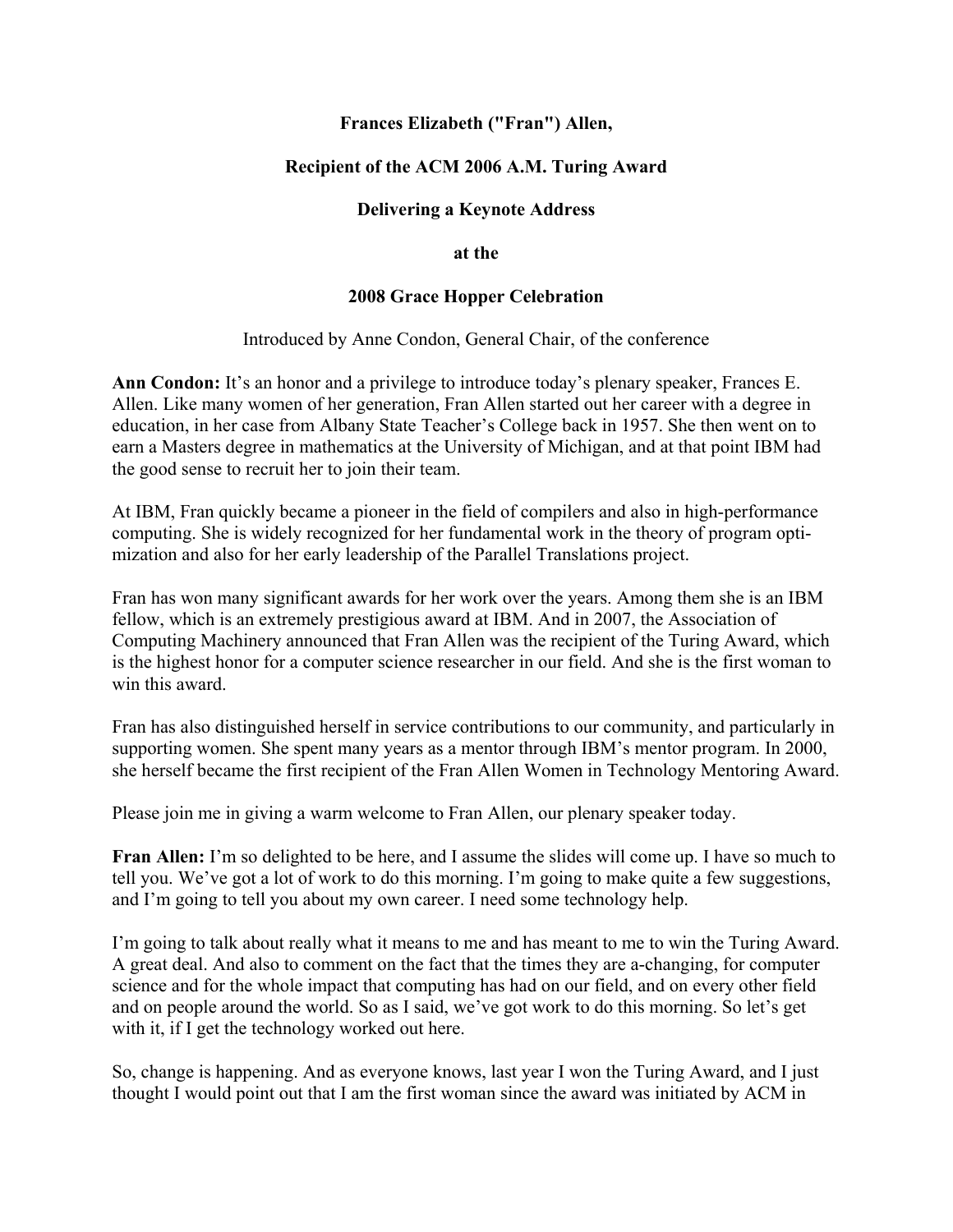## **Frances Elizabeth ("Fran") Allen,**

# **Recipient of the ACM 2006 A.M. Turing Award**

## **Delivering a Keynote Address**

#### **at the**

### **2008 Grace Hopper Celebration**

### Introduced by Anne Condon, General Chair, of the conference

**Ann Condon:** It's an honor and a privilege to introduce today's plenary speaker, Frances E. Allen. Like many women of her generation, Fran Allen started out her career with a degree in education, in her case from Albany State Teacher's College back in 1957. She then went on to earn a Masters degree in mathematics at the University of Michigan, and at that point IBM had the good sense to recruit her to join their team.

At IBM, Fran quickly became a pioneer in the field of compilers and also in high-performance computing. She is widely recognized for her fundamental work in the theory of program optimization and also for her early leadership of the Parallel Translations project.

Fran has won many significant awards for her work over the years. Among them she is an IBM fellow, which is an extremely prestigious award at IBM. And in 2007, the Association of Computing Machinery announced that Fran Allen was the recipient of the Turing Award, which is the highest honor for a computer science researcher in our field. And she is the first woman to win this award.

Fran has also distinguished herself in service contributions to our community, and particularly in supporting women. She spent many years as a mentor through IBM's mentor program. In 2000, she herself became the first recipient of the Fran Allen Women in Technology Mentoring Award.

Please join me in giving a warm welcome to Fran Allen, our plenary speaker today.

**Fran Allen:** I'm so delighted to be here, and I assume the slides will come up. I have so much to tell you. We've got a lot of work to do this morning. I'm going to make quite a few suggestions, and I'm going to tell you about my own career. I need some technology help.

I'm going to talk about really what it means to me and has meant to me to win the Turing Award. A great deal. And also to comment on the fact that the times they are a-changing, for computer science and for the whole impact that computing has had on our field, and on every other field and on people around the world. So as I said, we've got work to do this morning. So let's get with it, if I get the technology worked out here.

So, change is happening. And as everyone knows, last year I won the Turing Award, and I just thought I would point out that I am the first woman since the award was initiated by ACM in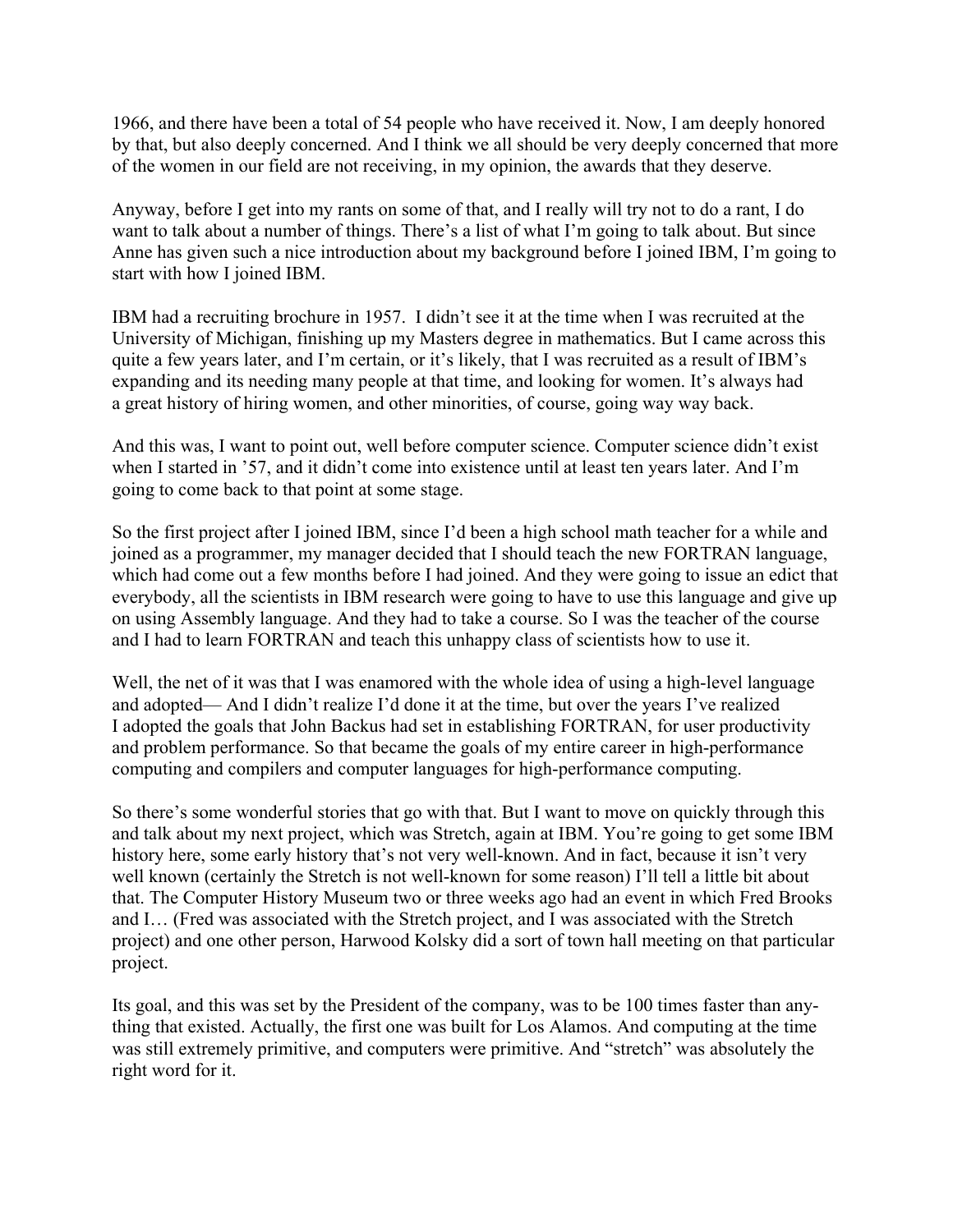1966, and there have been a total of 54 people who have received it. Now, I am deeply honored by that, but also deeply concerned. And I think we all should be very deeply concerned that more of the women in our field are not receiving, in my opinion, the awards that they deserve.

Anyway, before I get into my rants on some of that, and I really will try not to do a rant, I do want to talk about a number of things. There's a list of what I'm going to talk about. But since Anne has given such a nice introduction about my background before I joined IBM, I'm going to start with how I joined IBM.

IBM had a recruiting brochure in 1957. I didn't see it at the time when I was recruited at the University of Michigan, finishing up my Masters degree in mathematics. But I came across this quite a few years later, and I'm certain, or it's likely, that I was recruited as a result of IBM's expanding and its needing many people at that time, and looking for women. It's always had a great history of hiring women, and other minorities, of course, going way way back.

And this was, I want to point out, well before computer science. Computer science didn't exist when I started in '57, and it didn't come into existence until at least ten years later. And I'm going to come back to that point at some stage.

So the first project after I joined IBM, since I'd been a high school math teacher for a while and joined as a programmer, my manager decided that I should teach the new FORTRAN language, which had come out a few months before I had joined. And they were going to issue an edict that everybody, all the scientists in IBM research were going to have to use this language and give up on using Assembly language. And they had to take a course. So I was the teacher of the course and I had to learn FORTRAN and teach this unhappy class of scientists how to use it.

Well, the net of it was that I was enamored with the whole idea of using a high-level language and adopted— And I didn't realize I'd done it at the time, but over the years I've realized I adopted the goals that John Backus had set in establishing FORTRAN, for user productivity and problem performance. So that became the goals of my entire career in high-performance computing and compilers and computer languages for high-performance computing.

So there's some wonderful stories that go with that. But I want to move on quickly through this and talk about my next project, which was Stretch, again at IBM. You're going to get some IBM history here, some early history that's not very well-known. And in fact, because it isn't very well known (certainly the Stretch is not well-known for some reason) I'll tell a little bit about that. The Computer History Museum two or three weeks ago had an event in which Fred Brooks and I… (Fred was associated with the Stretch project, and I was associated with the Stretch project) and one other person, Harwood Kolsky did a sort of town hall meeting on that particular project.

Its goal, and this was set by the President of the company, was to be 100 times faster than anything that existed. Actually, the first one was built for Los Alamos. And computing at the time was still extremely primitive, and computers were primitive. And "stretch" was absolutely the right word for it.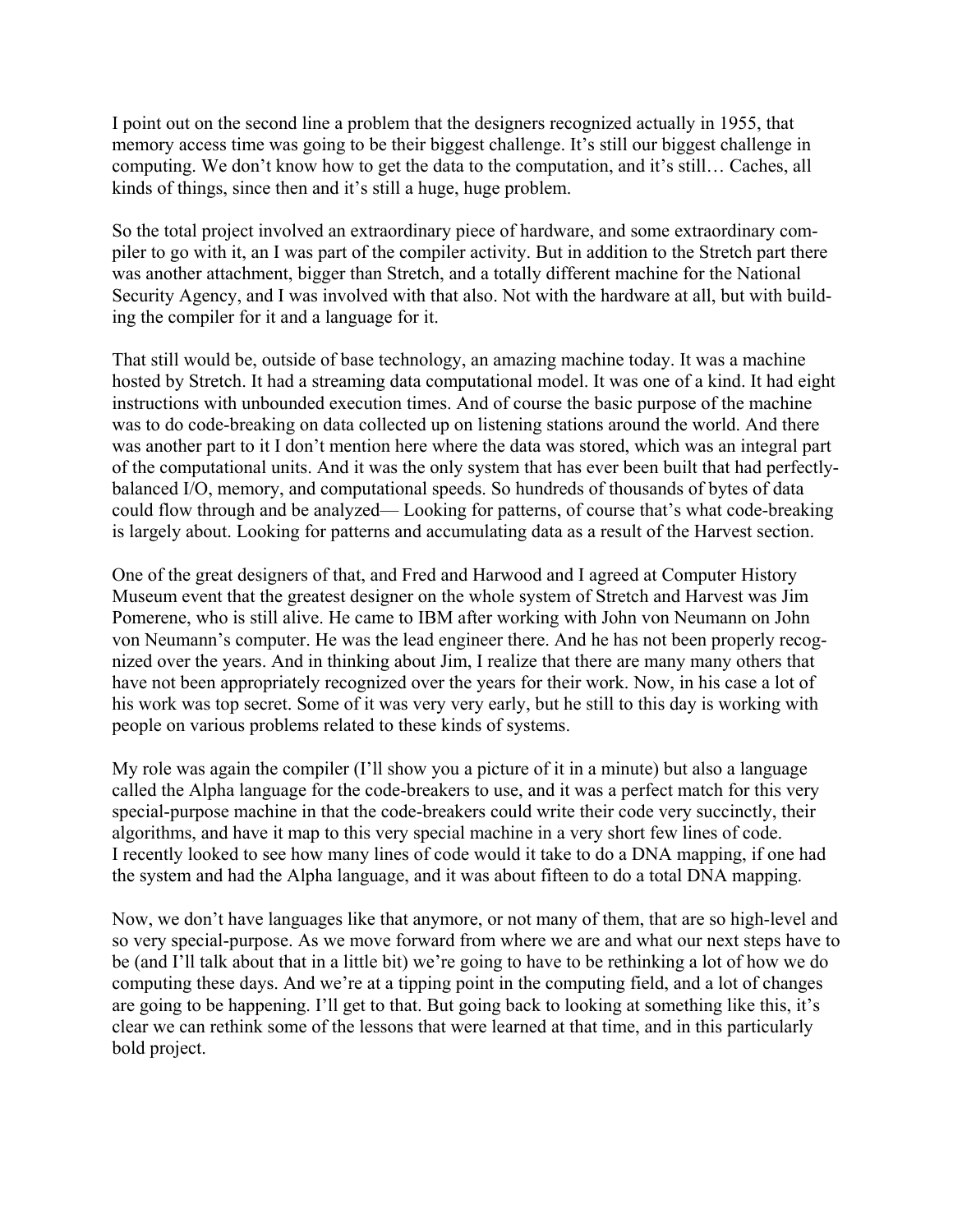I point out on the second line a problem that the designers recognized actually in 1955, that memory access time was going to be their biggest challenge. It's still our biggest challenge in computing. We don't know how to get the data to the computation, and it's still… Caches, all kinds of things, since then and it's still a huge, huge problem.

So the total project involved an extraordinary piece of hardware, and some extraordinary compiler to go with it, an I was part of the compiler activity. But in addition to the Stretch part there was another attachment, bigger than Stretch, and a totally different machine for the National Security Agency, and I was involved with that also. Not with the hardware at all, but with building the compiler for it and a language for it.

That still would be, outside of base technology, an amazing machine today. It was a machine hosted by Stretch. It had a streaming data computational model. It was one of a kind. It had eight instructions with unbounded execution times. And of course the basic purpose of the machine was to do code-breaking on data collected up on listening stations around the world. And there was another part to it I don't mention here where the data was stored, which was an integral part of the computational units. And it was the only system that has ever been built that had perfectlybalanced I/O, memory, and computational speeds. So hundreds of thousands of bytes of data could flow through and be analyzed— Looking for patterns, of course that's what code-breaking is largely about. Looking for patterns and accumulating data as a result of the Harvest section.

One of the great designers of that, and Fred and Harwood and I agreed at Computer History Museum event that the greatest designer on the whole system of Stretch and Harvest was Jim Pomerene, who is still alive. He came to IBM after working with John von Neumann on John von Neumann's computer. He was the lead engineer there. And he has not been properly recognized over the years. And in thinking about Jim, I realize that there are many many others that have not been appropriately recognized over the years for their work. Now, in his case a lot of his work was top secret. Some of it was very very early, but he still to this day is working with people on various problems related to these kinds of systems.

My role was again the compiler (I'll show you a picture of it in a minute) but also a language called the Alpha language for the code-breakers to use, and it was a perfect match for this very special-purpose machine in that the code-breakers could write their code very succinctly, their algorithms, and have it map to this very special machine in a very short few lines of code. I recently looked to see how many lines of code would it take to do a DNA mapping, if one had the system and had the Alpha language, and it was about fifteen to do a total DNA mapping.

Now, we don't have languages like that anymore, or not many of them, that are so high-level and so very special-purpose. As we move forward from where we are and what our next steps have to be (and I'll talk about that in a little bit) we're going to have to be rethinking a lot of how we do computing these days. And we're at a tipping point in the computing field, and a lot of changes are going to be happening. I'll get to that. But going back to looking at something like this, it's clear we can rethink some of the lessons that were learned at that time, and in this particularly bold project.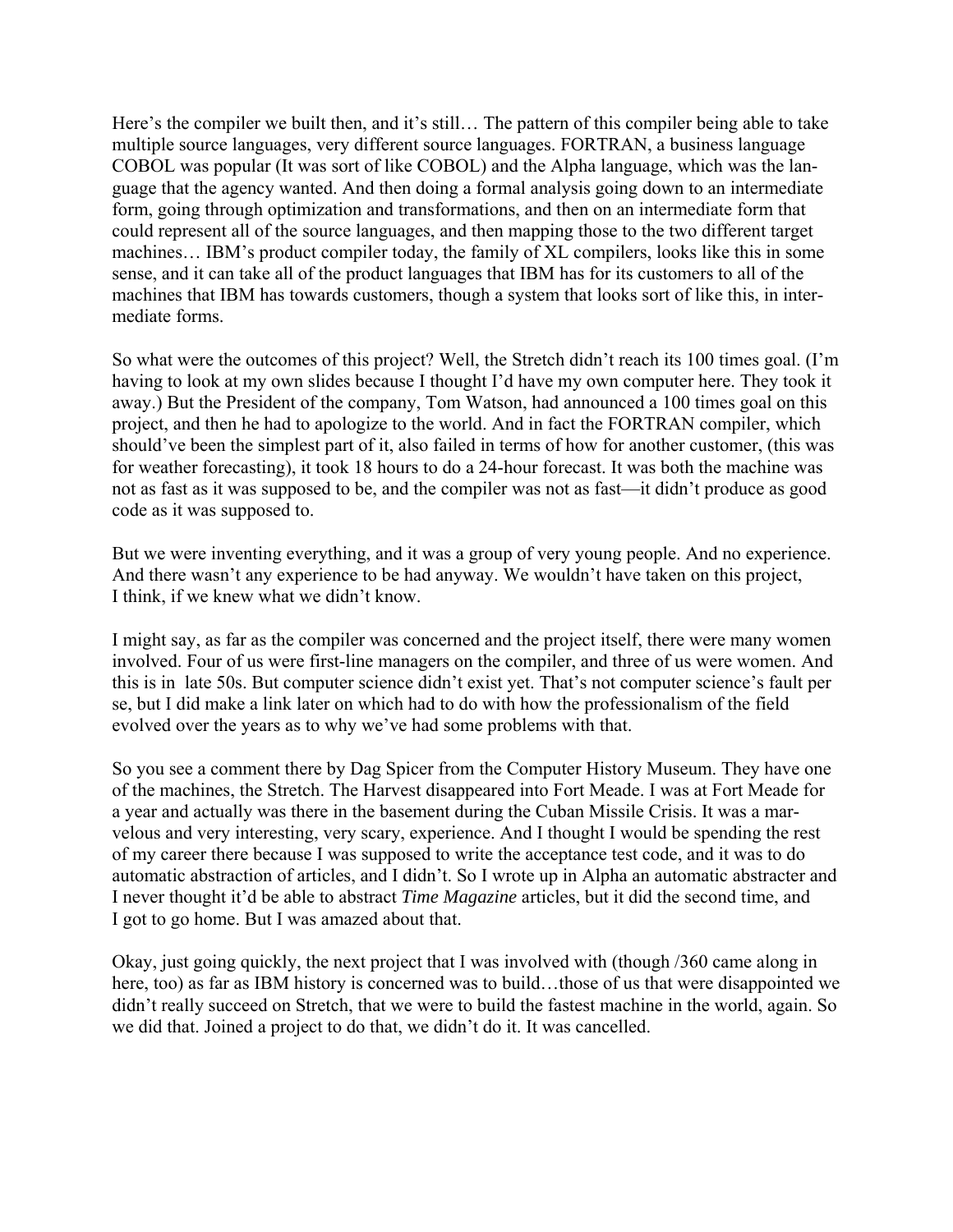Here's the compiler we built then, and it's still… The pattern of this compiler being able to take multiple source languages, very different source languages. FORTRAN, a business language COBOL was popular (It was sort of like COBOL) and the Alpha language, which was the language that the agency wanted. And then doing a formal analysis going down to an intermediate form, going through optimization and transformations, and then on an intermediate form that could represent all of the source languages, and then mapping those to the two different target machines… IBM's product compiler today, the family of XL compilers, looks like this in some sense, and it can take all of the product languages that IBM has for its customers to all of the machines that IBM has towards customers, though a system that looks sort of like this, in intermediate forms.

So what were the outcomes of this project? Well, the Stretch didn't reach its 100 times goal. (I'm having to look at my own slides because I thought I'd have my own computer here. They took it away.) But the President of the company, Tom Watson, had announced a 100 times goal on this project, and then he had to apologize to the world. And in fact the FORTRAN compiler, which should've been the simplest part of it, also failed in terms of how for another customer, (this was for weather forecasting), it took 18 hours to do a 24-hour forecast. It was both the machine was not as fast as it was supposed to be, and the compiler was not as fast—it didn't produce as good code as it was supposed to.

But we were inventing everything, and it was a group of very young people. And no experience. And there wasn't any experience to be had anyway. We wouldn't have taken on this project, I think, if we knew what we didn't know.

I might say, as far as the compiler was concerned and the project itself, there were many women involved. Four of us were first-line managers on the compiler, and three of us were women. And this is in late 50s. But computer science didn't exist yet. That's not computer science's fault per se, but I did make a link later on which had to do with how the professionalism of the field evolved over the years as to why we've had some problems with that.

So you see a comment there by Dag Spicer from the Computer History Museum. They have one of the machines, the Stretch. The Harvest disappeared into Fort Meade. I was at Fort Meade for a year and actually was there in the basement during the Cuban Missile Crisis. It was a marvelous and very interesting, very scary, experience. And I thought I would be spending the rest of my career there because I was supposed to write the acceptance test code, and it was to do automatic abstraction of articles, and I didn't. So I wrote up in Alpha an automatic abstracter and I never thought it'd be able to abstract *Time Magazine* articles, but it did the second time, and I got to go home. But I was amazed about that.

Okay, just going quickly, the next project that I was involved with (though /360 came along in here, too) as far as IBM history is concerned was to build...those of us that were disappointed we didn't really succeed on Stretch, that we were to build the fastest machine in the world, again. So we did that. Joined a project to do that, we didn't do it. It was cancelled.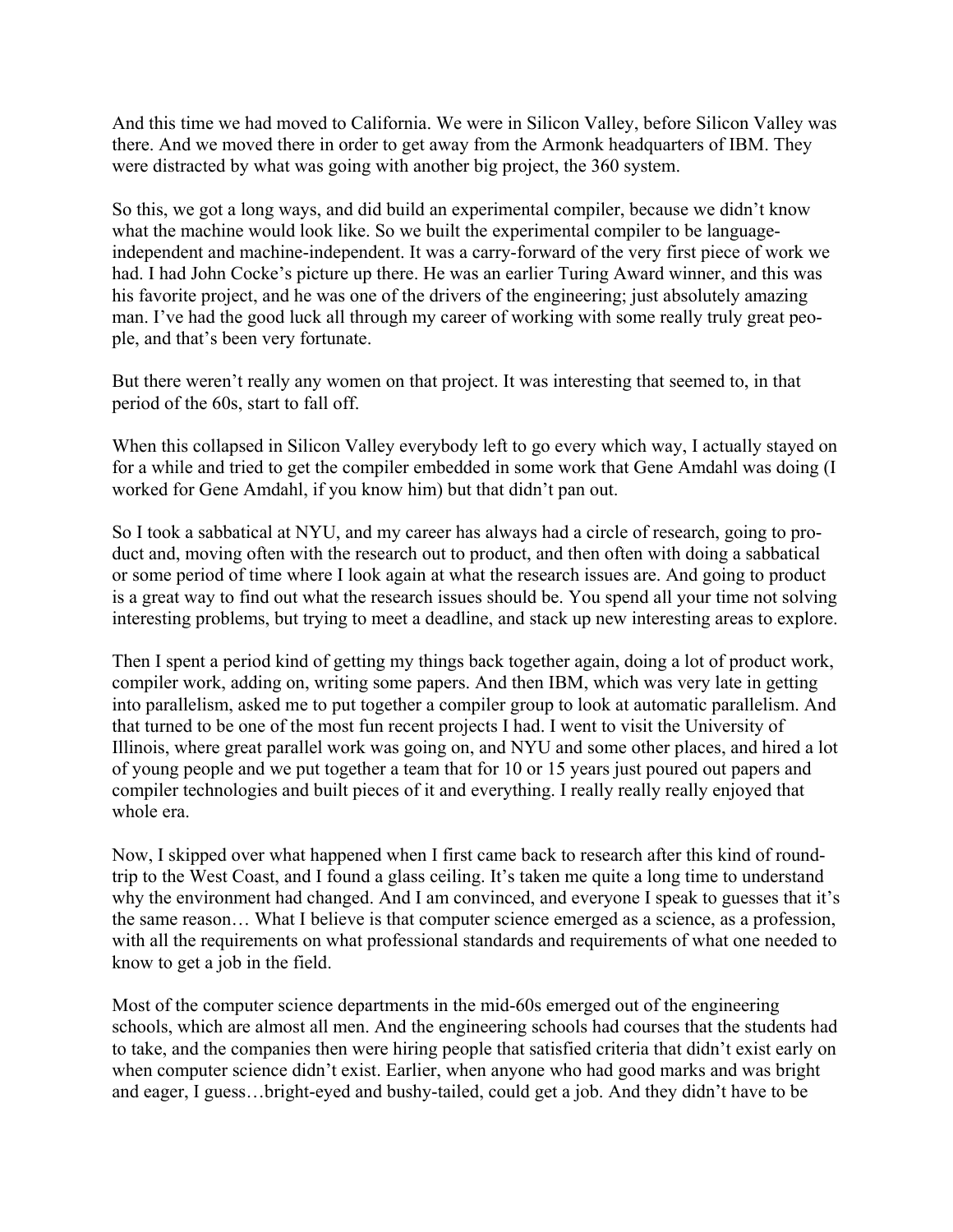And this time we had moved to California. We were in Silicon Valley, before Silicon Valley was there. And we moved there in order to get away from the Armonk headquarters of IBM. They were distracted by what was going with another big project, the 360 system.

So this, we got a long ways, and did build an experimental compiler, because we didn't know what the machine would look like. So we built the experimental compiler to be languageindependent and machine-independent. It was a carry-forward of the very first piece of work we had. I had John Cocke's picture up there. He was an earlier Turing Award winner, and this was his favorite project, and he was one of the drivers of the engineering; just absolutely amazing man. I've had the good luck all through my career of working with some really truly great people, and that's been very fortunate.

But there weren't really any women on that project. It was interesting that seemed to, in that period of the 60s, start to fall off.

When this collapsed in Silicon Valley everybody left to go every which way, I actually stayed on for a while and tried to get the compiler embedded in some work that Gene Amdahl was doing (I worked for Gene Amdahl, if you know him) but that didn't pan out.

So I took a sabbatical at NYU, and my career has always had a circle of research, going to product and, moving often with the research out to product, and then often with doing a sabbatical or some period of time where I look again at what the research issues are. And going to product is a great way to find out what the research issues should be. You spend all your time not solving interesting problems, but trying to meet a deadline, and stack up new interesting areas to explore.

Then I spent a period kind of getting my things back together again, doing a lot of product work, compiler work, adding on, writing some papers. And then IBM, which was very late in getting into parallelism, asked me to put together a compiler group to look at automatic parallelism. And that turned to be one of the most fun recent projects I had. I went to visit the University of Illinois, where great parallel work was going on, and NYU and some other places, and hired a lot of young people and we put together a team that for 10 or 15 years just poured out papers and compiler technologies and built pieces of it and everything. I really really really enjoyed that whole era.

Now, I skipped over what happened when I first came back to research after this kind of roundtrip to the West Coast, and I found a glass ceiling. It's taken me quite a long time to understand why the environment had changed. And I am convinced, and everyone I speak to guesses that it's the same reason… What I believe is that computer science emerged as a science, as a profession, with all the requirements on what professional standards and requirements of what one needed to know to get a job in the field.

Most of the computer science departments in the mid-60s emerged out of the engineering schools, which are almost all men. And the engineering schools had courses that the students had to take, and the companies then were hiring people that satisfied criteria that didn't exist early on when computer science didn't exist. Earlier, when anyone who had good marks and was bright and eager, I guess…bright-eyed and bushy-tailed, could get a job. And they didn't have to be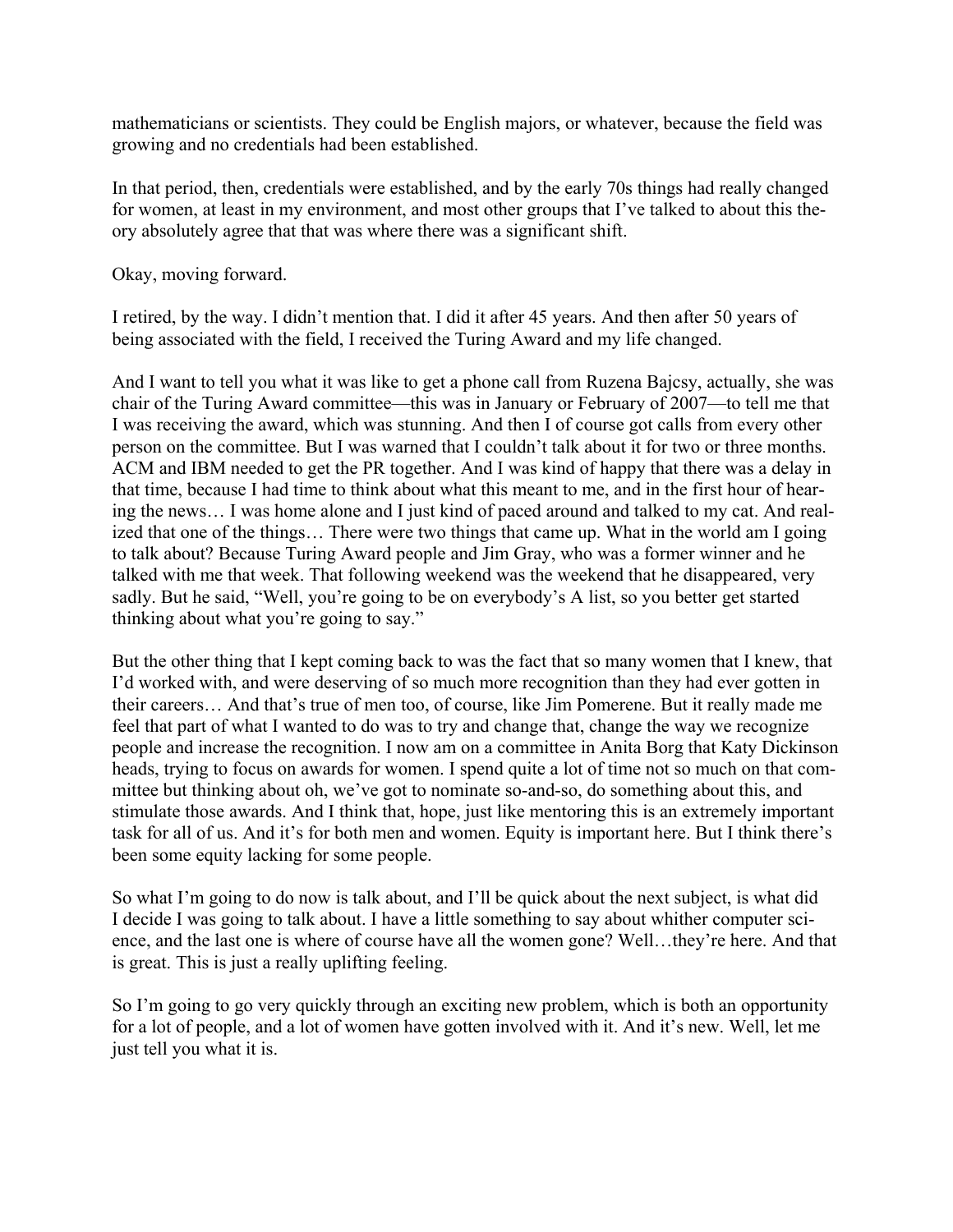mathematicians or scientists. They could be English majors, or whatever, because the field was growing and no credentials had been established.

In that period, then, credentials were established, and by the early 70s things had really changed for women, at least in my environment, and most other groups that I've talked to about this theory absolutely agree that that was where there was a significant shift.

Okay, moving forward.

I retired, by the way. I didn't mention that. I did it after 45 years. And then after 50 years of being associated with the field, I received the Turing Award and my life changed.

And I want to tell you what it was like to get a phone call from Ruzena Bajcsy, actually, she was chair of the Turing Award committee—this was in January or February of 2007—to tell me that I was receiving the award, which was stunning. And then I of course got calls from every other person on the committee. But I was warned that I couldn't talk about it for two or three months. ACM and IBM needed to get the PR together. And I was kind of happy that there was a delay in that time, because I had time to think about what this meant to me, and in the first hour of hearing the news… I was home alone and I just kind of paced around and talked to my cat. And realized that one of the things… There were two things that came up. What in the world am I going to talk about? Because Turing Award people and Jim Gray, who was a former winner and he talked with me that week. That following weekend was the weekend that he disappeared, very sadly. But he said, "Well, you're going to be on everybody's A list, so you better get started thinking about what you're going to say."

But the other thing that I kept coming back to was the fact that so many women that I knew, that I'd worked with, and were deserving of so much more recognition than they had ever gotten in their careers… And that's true of men too, of course, like Jim Pomerene. But it really made me feel that part of what I wanted to do was to try and change that, change the way we recognize people and increase the recognition. I now am on a committee in Anita Borg that Katy Dickinson heads, trying to focus on awards for women. I spend quite a lot of time not so much on that committee but thinking about oh, we've got to nominate so-and-so, do something about this, and stimulate those awards. And I think that, hope, just like mentoring this is an extremely important task for all of us. And it's for both men and women. Equity is important here. But I think there's been some equity lacking for some people.

So what I'm going to do now is talk about, and I'll be quick about the next subject, is what did I decide I was going to talk about. I have a little something to say about whither computer science, and the last one is where of course have all the women gone? Well…they're here. And that is great. This is just a really uplifting feeling.

So I'm going to go very quickly through an exciting new problem, which is both an opportunity for a lot of people, and a lot of women have gotten involved with it. And it's new. Well, let me just tell you what it is.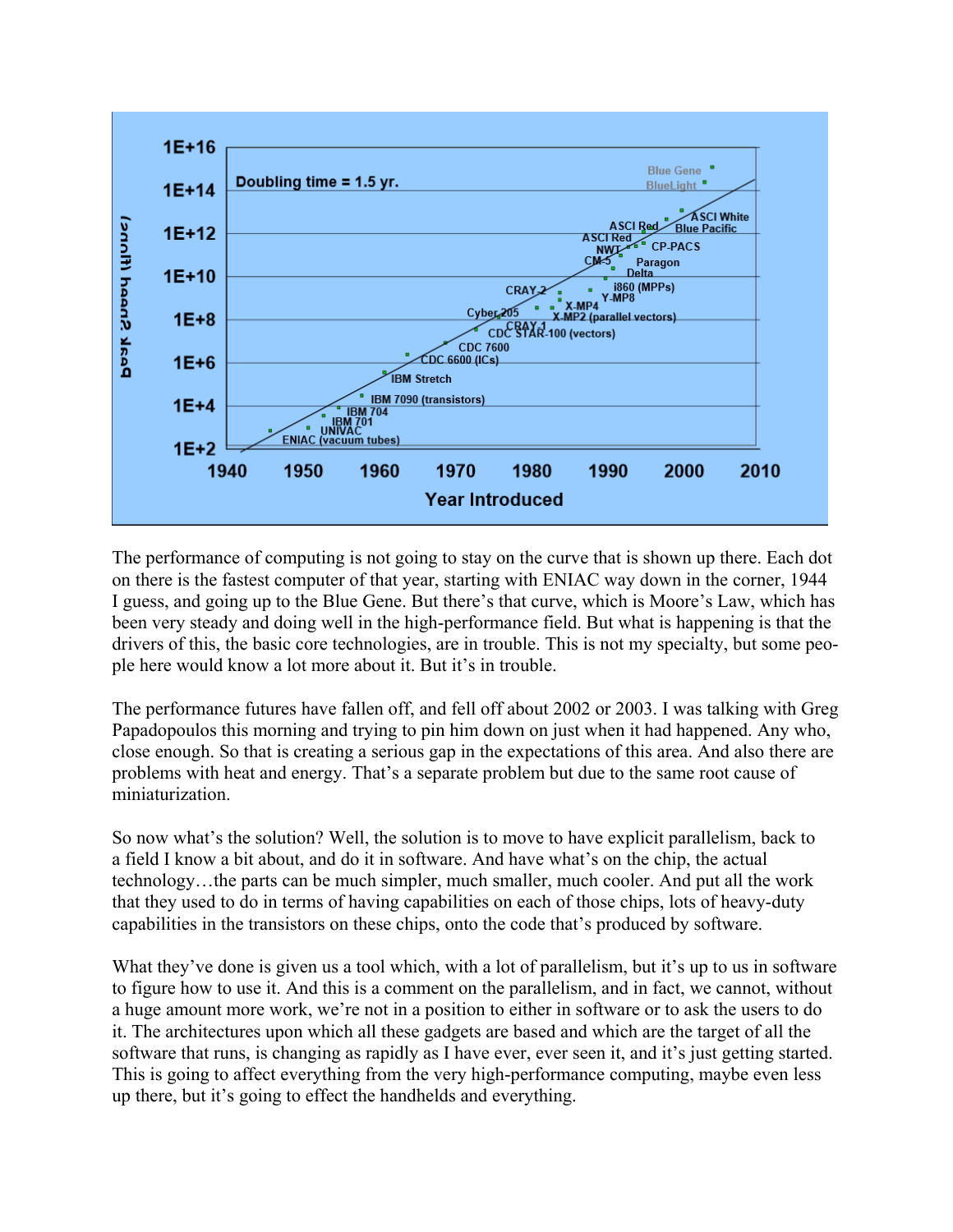

The performance of computing is not going to stay on the curve that is shown up there. Each dot on there is the fastest computer of that year, starting with ENIAC way down in the corner, 1944 I guess, and going up to the Blue Gene. But there's that curve, which is Moore's Law, which has been very steady and doing well in the high-performance field. But what is happening is that the drivers of this, the basic core technologies, are in trouble. This is not my specialty, but some people here would know a lot more about it. But it's in trouble.

The performance futures have fallen off, and fell off about 2002 or 2003. I was talking with Greg Papadopoulos this morning and trying to pin him down on just when it had happened. Any who, close enough. So that is creating a serious gap in the expectations of this area. And also there are problems with heat and energy. That's a separate problem but due to the same root cause of miniaturization.

So now what's the solution? Well, the solution is to move to have explicit parallelism, back to a field I know a bit about, and do it in software. And have what's on the chip, the actual technology…the parts can be much simpler, much smaller, much cooler. And put all the work that they used to do in terms of having capabilities on each of those chips, lots of heavy-duty capabilities in the transistors on these chips, onto the code that's produced by software.

What they've done is given us a tool which, with a lot of parallelism, but it's up to us in software to figure how to use it. And this is a comment on the parallelism, and in fact, we cannot, without a huge amount more work, we're not in a position to either in software or to ask the users to do it. The architectures upon which all these gadgets are based and which are the target of all the software that runs, is changing as rapidly as I have ever, ever seen it, and it's just getting started. This is going to affect everything from the very high-performance computing, maybe even less up there, but it's going to effect the handhelds and everything.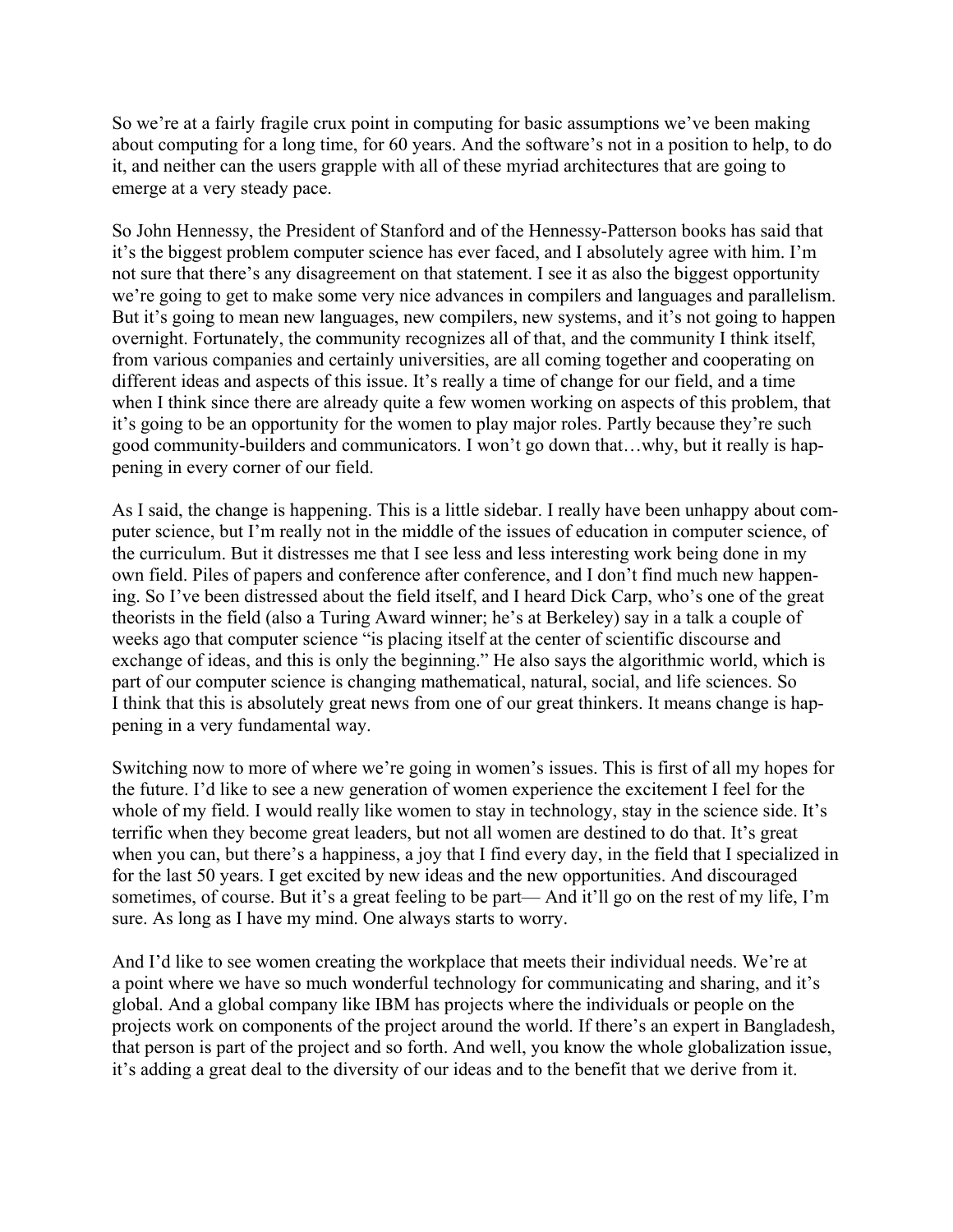So we're at a fairly fragile crux point in computing for basic assumptions we've been making about computing for a long time, for 60 years. And the software's not in a position to help, to do it, and neither can the users grapple with all of these myriad architectures that are going to emerge at a very steady pace.

So John Hennessy, the President of Stanford and of the Hennessy-Patterson books has said that it's the biggest problem computer science has ever faced, and I absolutely agree with him. I'm not sure that there's any disagreement on that statement. I see it as also the biggest opportunity we're going to get to make some very nice advances in compilers and languages and parallelism. But it's going to mean new languages, new compilers, new systems, and it's not going to happen overnight. Fortunately, the community recognizes all of that, and the community I think itself, from various companies and certainly universities, are all coming together and cooperating on different ideas and aspects of this issue. It's really a time of change for our field, and a time when I think since there are already quite a few women working on aspects of this problem, that it's going to be an opportunity for the women to play major roles. Partly because they're such good community-builders and communicators. I won't go down that…why, but it really is happening in every corner of our field.

As I said, the change is happening. This is a little sidebar. I really have been unhappy about computer science, but I'm really not in the middle of the issues of education in computer science, of the curriculum. But it distresses me that I see less and less interesting work being done in my own field. Piles of papers and conference after conference, and I don't find much new happening. So I've been distressed about the field itself, and I heard Dick Carp, who's one of the great theorists in the field (also a Turing Award winner; he's at Berkeley) say in a talk a couple of weeks ago that computer science "is placing itself at the center of scientific discourse and exchange of ideas, and this is only the beginning." He also says the algorithmic world, which is part of our computer science is changing mathematical, natural, social, and life sciences. So I think that this is absolutely great news from one of our great thinkers. It means change is happening in a very fundamental way.

Switching now to more of where we're going in women's issues. This is first of all my hopes for the future. I'd like to see a new generation of women experience the excitement I feel for the whole of my field. I would really like women to stay in technology, stay in the science side. It's terrific when they become great leaders, but not all women are destined to do that. It's great when you can, but there's a happiness, a joy that I find every day, in the field that I specialized in for the last 50 years. I get excited by new ideas and the new opportunities. And discouraged sometimes, of course. But it's a great feeling to be part— And it'll go on the rest of my life, I'm sure. As long as I have my mind. One always starts to worry.

And I'd like to see women creating the workplace that meets their individual needs. We're at a point where we have so much wonderful technology for communicating and sharing, and it's global. And a global company like IBM has projects where the individuals or people on the projects work on components of the project around the world. If there's an expert in Bangladesh, that person is part of the project and so forth. And well, you know the whole globalization issue, it's adding a great deal to the diversity of our ideas and to the benefit that we derive from it.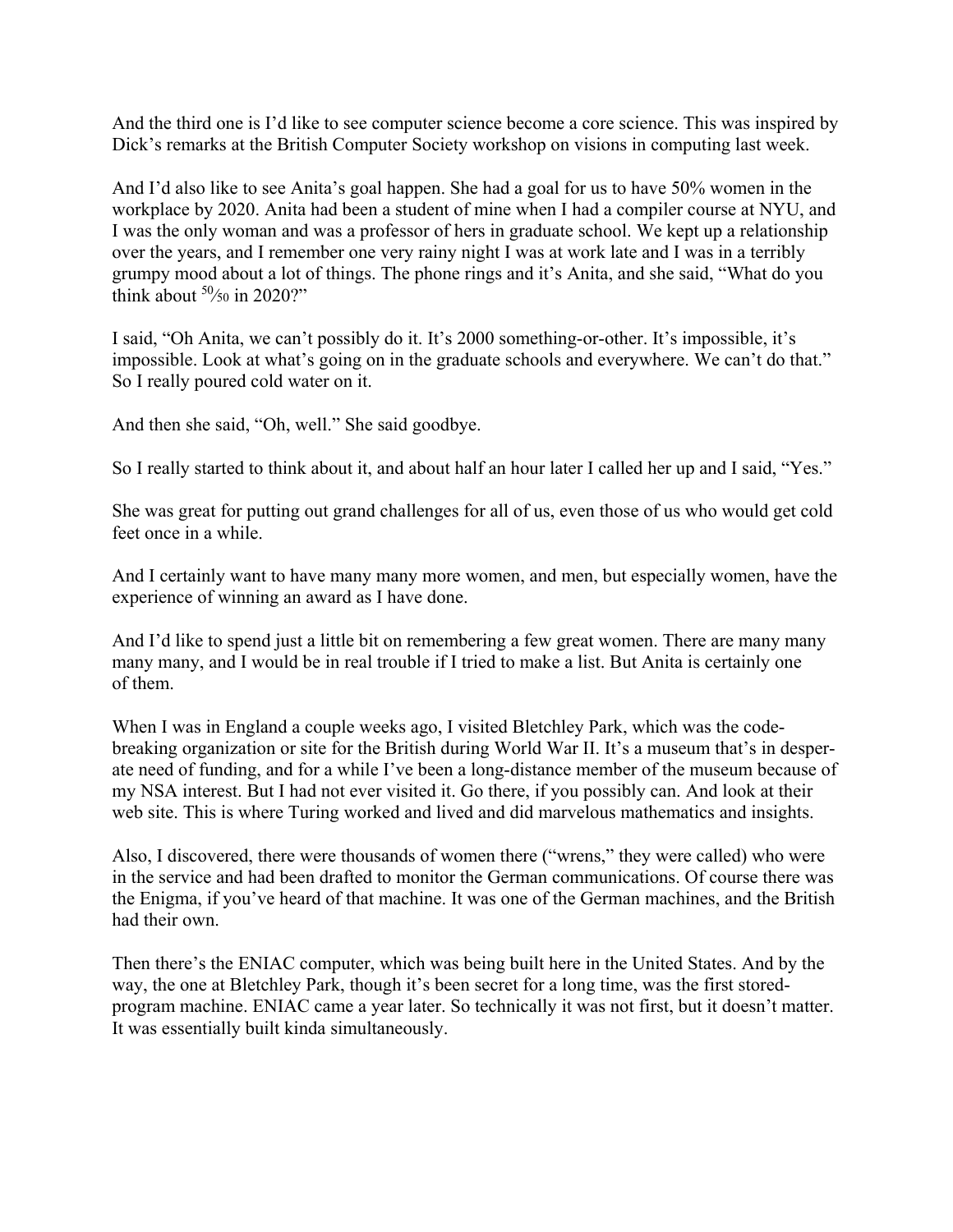And the third one is I'd like to see computer science become a core science. This was inspired by Dick's remarks at the British Computer Society workshop on visions in computing last week.

And I'd also like to see Anita's goal happen. She had a goal for us to have 50% women in the workplace by 2020. Anita had been a student of mine when I had a compiler course at NYU, and I was the only woman and was a professor of hers in graduate school. We kept up a relationship over the years, and I remember one very rainy night I was at work late and I was in a terribly grumpy mood about a lot of things. The phone rings and it's Anita, and she said, "What do you think about  $50/50$  in 2020?"

I said, "Oh Anita, we can't possibly do it. It's 2000 something-or-other. It's impossible, it's impossible. Look at what's going on in the graduate schools and everywhere. We can't do that." So I really poured cold water on it.

And then she said, "Oh, well." She said goodbye.

So I really started to think about it, and about half an hour later I called her up and I said, "Yes."

She was great for putting out grand challenges for all of us, even those of us who would get cold feet once in a while.

And I certainly want to have many many more women, and men, but especially women, have the experience of winning an award as I have done.

And I'd like to spend just a little bit on remembering a few great women. There are many many many many, and I would be in real trouble if I tried to make a list. But Anita is certainly one of them.

When I was in England a couple weeks ago, I visited Bletchley Park, which was the codebreaking organization or site for the British during World War II. It's a museum that's in desperate need of funding, and for a while I've been a long-distance member of the museum because of my NSA interest. But I had not ever visited it. Go there, if you possibly can. And look at their web site. This is where Turing worked and lived and did marvelous mathematics and insights.

Also, I discovered, there were thousands of women there ("wrens," they were called) who were in the service and had been drafted to monitor the German communications. Of course there was the Enigma, if you've heard of that machine. It was one of the German machines, and the British had their own.

Then there's the ENIAC computer, which was being built here in the United States. And by the way, the one at Bletchley Park, though it's been secret for a long time, was the first storedprogram machine. ENIAC came a year later. So technically it was not first, but it doesn't matter. It was essentially built kinda simultaneously.